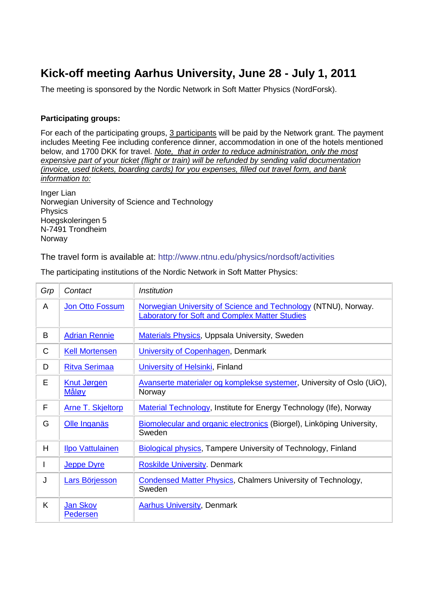# **Kick-off meeting Aarhus University, June 28 - July 1, 2011**

The meeting is sponsored by the Nordic Network in Soft Matter Physics (NordForsk).

# **Participating groups:**

For each of the participating groups, 3 participants will be paid by the Network grant. The payment includes Meeting Fee including conference dinner, accommodation in one of the hotels mentioned below, and 1700 DKK for travel. *Note, that in order to reduce administration, only the most expensive part of your ticket (flight or train) will be refunded by sending valid documentation (invoice, used tickets, boarding cards) for you expenses, filled out travel form, and bank information to:*

Inger Lian Norwegian University of Science and Technology Physics Hoegskoleringen 5 N-7491 Trondheim Norway

The travel form is available at:<http://www.ntnu.edu/physics/nordsoft/activities>

| Grp          | Contact                            | Institution                                                                                                             |
|--------------|------------------------------------|-------------------------------------------------------------------------------------------------------------------------|
| A            | Jon Otto Fossum                    | Norwegian University of Science and Technology (NTNU), Norway.<br><b>Laboratory for Soft and Complex Matter Studies</b> |
| B            | <b>Adrian Rennie</b>               | <b>Materials Physics, Uppsala University, Sweden</b>                                                                    |
| $\mathsf{C}$ | <b>Kell Mortensen</b>              | University of Copenhagen, Denmark                                                                                       |
| D            | <b>Ritva Serimaa</b>               | University of Helsinki, Finland                                                                                         |
| E            | <b>Knut Jørgen</b><br><u>Måløy</u> | Avanserte materialer og komplekse systemer, University of Oslo (UiO),<br>Norway                                         |
| F            | <b>Arne T. Skjeltorp</b>           | <b>Material Technology, Institute for Energy Technology (Ife), Norway</b>                                               |
| G            | Olle Inganäs                       | Biomolecular and organic electronics (Biorgel), Linköping University,<br>Sweden                                         |
| H            | <b>Ilpo Vattulainen</b>            | Biological physics, Tampere University of Technology, Finland                                                           |
| L            | <b>Jeppe Dyre</b>                  | <b>Roskilde University. Denmark</b>                                                                                     |
| J            | <b>Lars Börjesson</b>              | <b>Condensed Matter Physics, Chalmers University of Technology,</b><br>Sweden                                           |
| K            | Jan Skov<br>Pedersen               | <b>Aarhus University, Denmark</b>                                                                                       |

The participating institutions of the Nordic Network in Soft Matter Physics: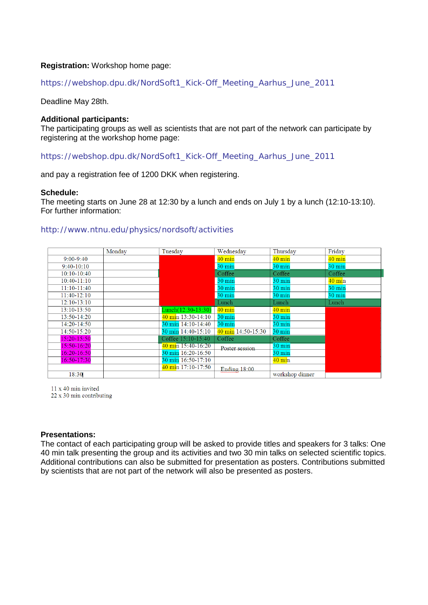## **Registration:** Workshop home page:

## [https://webshop.dpu.dk/NordSoft1\\_Kick-Off\\_Meeting\\_Aarhus\\_June\\_2011](https://webshop.dpu.dk/NordSoft1_Kick-Off_Meeting_Aarhus_June_2011)

Deadline May 28th.

#### **Additional participants:**

The participating groups as well as scientists that are not part of the network can participate by registering at the workshop home page:

[https://webshop.dpu.dk/NordSoft1\\_Kick-Off\\_Meeting\\_Aarhus\\_June\\_2011](https://webshop.dpu.dk/NordSoft1_Kick-Off_Meeting_Aarhus_June_2011)

and pay a registration fee of 1200 DKK when registering.

#### **Schedule:**

The meeting starts on June 28 at 12:30 by a lunch and ends on July 1 by a lunch (12:10-13:10). For further information:

#### <http://www.ntnu.edu/physics/nordsoft/activities>

|                 | Monday | Tuesday                      | Wednesday            | Thursday         | Friday           |
|-----------------|--------|------------------------------|----------------------|------------------|------------------|
| $9:00 - 9:40$   |        |                              | $40 \text{ min}$     | $40 \text{ min}$ | $40 \text{ min}$ |
| $9:40-10:10$    |        |                              | $30 \text{ min}$     | $30 \text{ min}$ | $30 \text{ min}$ |
| $10:10-10:40$   |        |                              | Coffee               | Coffee           | Coffee           |
| $10:40 - 11:10$ |        |                              | $30 \text{ min}$     | $30 \text{ min}$ | $40 \text{ min}$ |
| $11:10-11:40$   |        |                              | $30 \text{ min}$     | $30 \text{ min}$ | $30 \text{ min}$ |
| 11:40-12:10     |        |                              | $30 \text{ min}$     | $30 \text{ min}$ | $30 \text{ min}$ |
| $12:10-13:10$   |        |                              | Lunch                | Lunch            | Lunch            |
| 13:10-13:50     |        | $Lunch(12:30-13:30)$         | $40 \text{ min}$     | $40 \text{ min}$ |                  |
| 13:50-14:20     |        | $40 \text{ min} 13:30-14:10$ | $30 \text{ min}$     | $30 \text{ min}$ |                  |
| 14:20-14:50     |        | 30 min 14:10-14:40           | $30 \text{ min}$     | $30 \text{ min}$ |                  |
| $14:50 - 15:20$ |        | 30 min 14:40-15:10           | $40$ min 14:50-15:30 | $30 \text{ min}$ |                  |
| 15:20-15:50     |        | Coffee 15:10-15:40           | Coffee               | Coffee           |                  |
| 15:50-16:20     |        | $40 \text{ min}$ 15:40-16:20 | Poster session       | $30 \text{ min}$ |                  |
| 16:20-16:50     |        | 30 min 16:20-16:50           |                      | $30 \text{ min}$ |                  |
| 16:50-17:30     |        | 30 min 16:50-17:10           |                      | $40 \text{ min}$ |                  |
|                 |        | $40 \text{ min}$ 17:10-17:50 | <b>Ending 18:00</b>  |                  |                  |
| 18:30           |        |                              |                      | workshop dinner  |                  |

11 x 40 min invited

22 x 30 min contributing

#### **Presentations:**

The contact of each participating group will be asked to provide titles and speakers for 3 talks: One 40 min talk presenting the group and its activities and two 30 min talks on selected scientific topics. Additional contributions can also be submitted for presentation as posters. Contributions submitted by scientists that are not part of the network will also be presented as posters.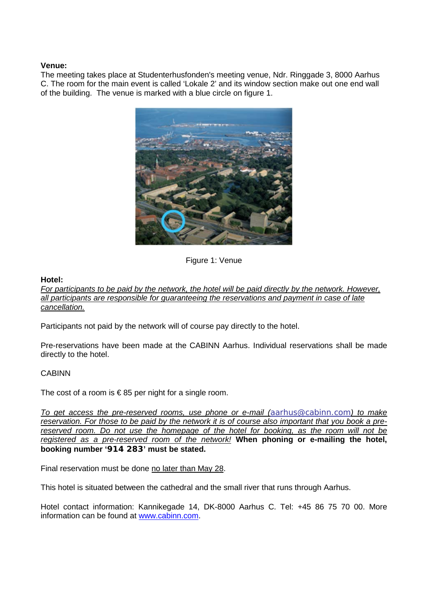## **Venue:**

The meeting takes place at Studenterhusfonden's meeting venue, Ndr. Ringgade 3, 8000 Aarhus C. The room for the main event is called 'Lokale 2' and its window section make out one end wall of the building. The venue is marked with a blue circle on figure 1.



Figure 1: Venue

#### **Hotel:**

*For participants to be paid by the network, the hotel will be paid directly by the network. However, all participants are responsible for guaranteeing the reservations and payment in case of late cancellation.* 

Participants not paid by the network will of course pay directly to the hotel.

Pre-reservations have been made at the CABINN Aarhus. Individual reservations shall be made directly to the hotel.

## CABINN

The cost of a room is  $\epsilon$ 85 per night for a single room.

*To get access the pre-reserved rooms, use phone or e-mail ([aarhus@cabinn.com](https://webmail.nfit.au.dk/horde/imp/message.php?mailbox=%2A%2Asearch_bhkhfqqypzwwg4k4ggsow&index=19210&thismailbox=INBOX##)) to make reservation. For those to be paid by the network it is of course also important that you book a prereserved room. Do not use the homepage of the hotel for booking, as the room will not be registered as a pre-reserved room of the network!* **When phoning or e-mailing the hotel, booking number '914 283' must be stated.**

Final reservation must be done no later than May 28.

This hotel is situated between the cathedral and the small river that runs through Aarhus.

Hotel contact information: Kannikegade 14, DK-8000 Aarhus C. Tel: +45 86 75 70 00. More information can be found at [www.cabinn.com.](http://www.cabinn.com/)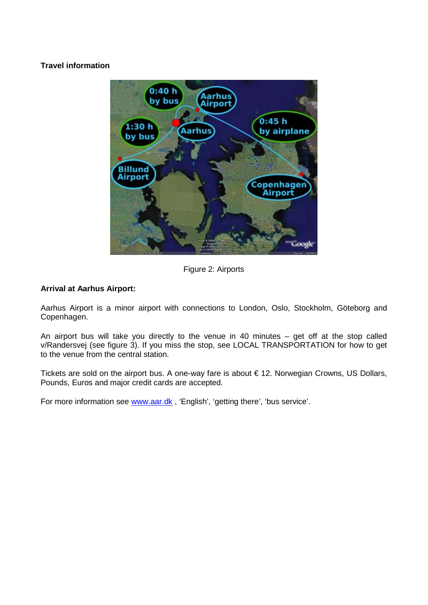# **Travel information**



Figure 2: Airports

# **Arrival at Aarhus Airport:**

Aarhus Airport is a minor airport with connections to London, Oslo, Stockholm, Göteborg and Copenhagen.

An airport bus will take you directly to the venue in 40 minutes – get off at the stop called v/Randersvej (see figure 3). If you miss the stop, see LOCAL TRANSPORTATION for how to get to the venue from the central station.

Tickets are sold on the airport bus. A one-way fare is about € 12. Norwegian Crowns, US Dollars, Pounds, Euros and major credit cards are accepted.

For more information see [www.aar.dk](http://www.aar.dk/), 'English', 'getting there', 'bus service'.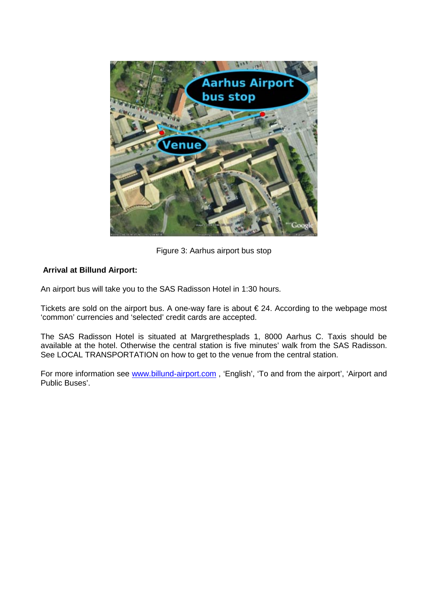

Figure 3: Aarhus airport bus stop

## **Arrival at Billund Airport:**

An airport bus will take you to the SAS Radisson Hotel in 1:30 hours.

Tickets are sold on the airport bus. A one-way fare is about  $\epsilon$  24. According to the webpage most 'common' currencies and 'selected' credit cards are accepted.

The SAS Radisson Hotel is situated at Margrethesplads 1, 8000 Aarhus C. Taxis should be available at the hotel. Otherwise the central station is five minutes' walk from the SAS Radisson. See LOCAL TRANSPORTATION on how to get to the venue from the central station.

For more information see [www.billund-airport.com](http://www.billund-airport.com/), 'English', 'To and from the airport', 'Airport and Public Buses'.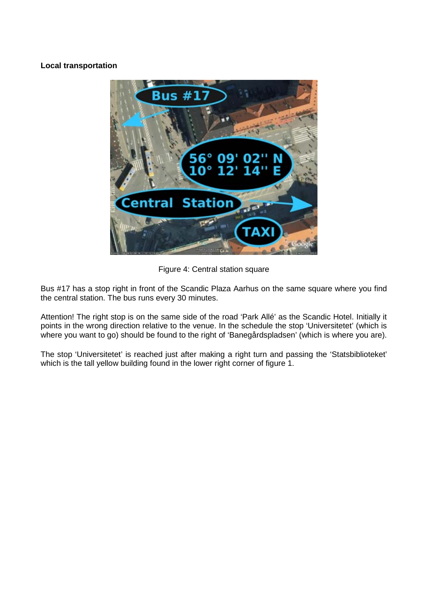## **Local transportation**



Figure 4: Central station square

Bus #17 has a stop right in front of the Scandic Plaza Aarhus on the same square where you find the central station. The bus runs every 30 minutes.

Attention! The right stop is on the same side of the road 'Park Allé' as the Scandic Hotel. Initially it points in the wrong direction relative to the venue. In the schedule the stop 'Universitetet' (which is where you want to go) should be found to the right of 'Banegårdspladsen' (which is where you are).

The stop 'Universitetet' is reached just after making a right turn and passing the 'Statsbiblioteket' which is the tall yellow building found in the lower right corner of figure 1.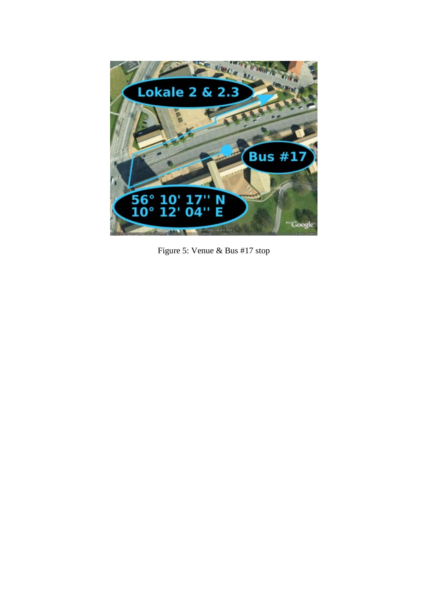

Figure 5: Venue & Bus #17 stop